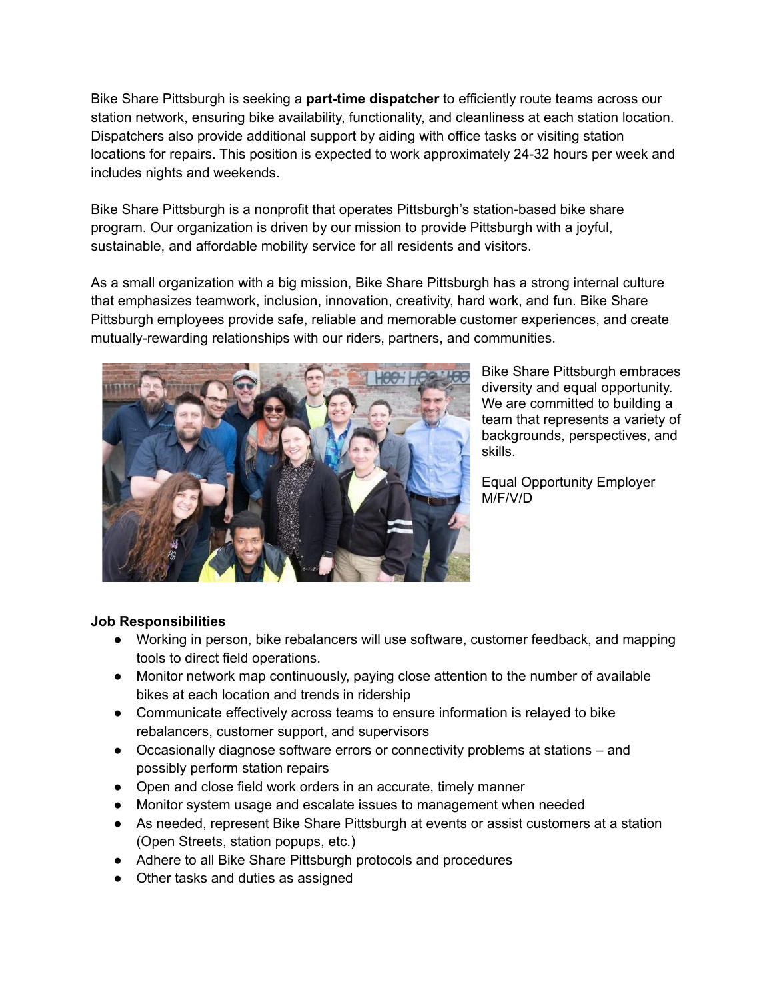Bike Share Pittsburgh is seeking a **part-time dispatcher** to efficiently route teams across our station network, ensuring bike availability, functionality, and cleanliness at each station location. Dispatchers also provide additional support by aiding with office tasks or visiting station locations for repairs. This position is expected to work approximately 24-32 hours per week and includes nights and weekends.

Bike Share Pittsburgh is a nonprofit that operates Pittsburgh's station-based bike share program. Our organization is driven by our mission to provide Pittsburgh with a joyful, sustainable, and affordable mobility service for all residents and visitors.

As a small organization with a big mission, Bike Share Pittsburgh has a strong internal culture that emphasizes teamwork, inclusion, innovation, creativity, hard work, and fun. Bike Share Pittsburgh employees provide safe, reliable and memorable customer experiences, and create mutually-rewarding relationships with our riders, partners, and communities.



Bike Share Pittsburgh embraces diversity and equal opportunity. We are committed to building a team that represents a variety of backgrounds, perspectives, and skills.

Equal Opportunity Employer M/F/V/D

## **Job Responsibilities**

- Working in person, bike rebalancers will use software, customer feedback, and mapping tools to direct field operations.
- Monitor network map continuously, paying close attention to the number of available bikes at each location and trends in ridership
- Communicate effectively across teams to ensure information is relayed to bike rebalancers, customer support, and supervisors
- Occasionally diagnose software errors or connectivity problems at stations and possibly perform station repairs
- Open and close field work orders in an accurate, timely manner
- Monitor system usage and escalate issues to management when needed
- As needed, represent Bike Share Pittsburgh at events or assist customers at a station (Open Streets, station popups, etc.)
- Adhere to all Bike Share Pittsburgh protocols and procedures
- Other tasks and duties as assigned